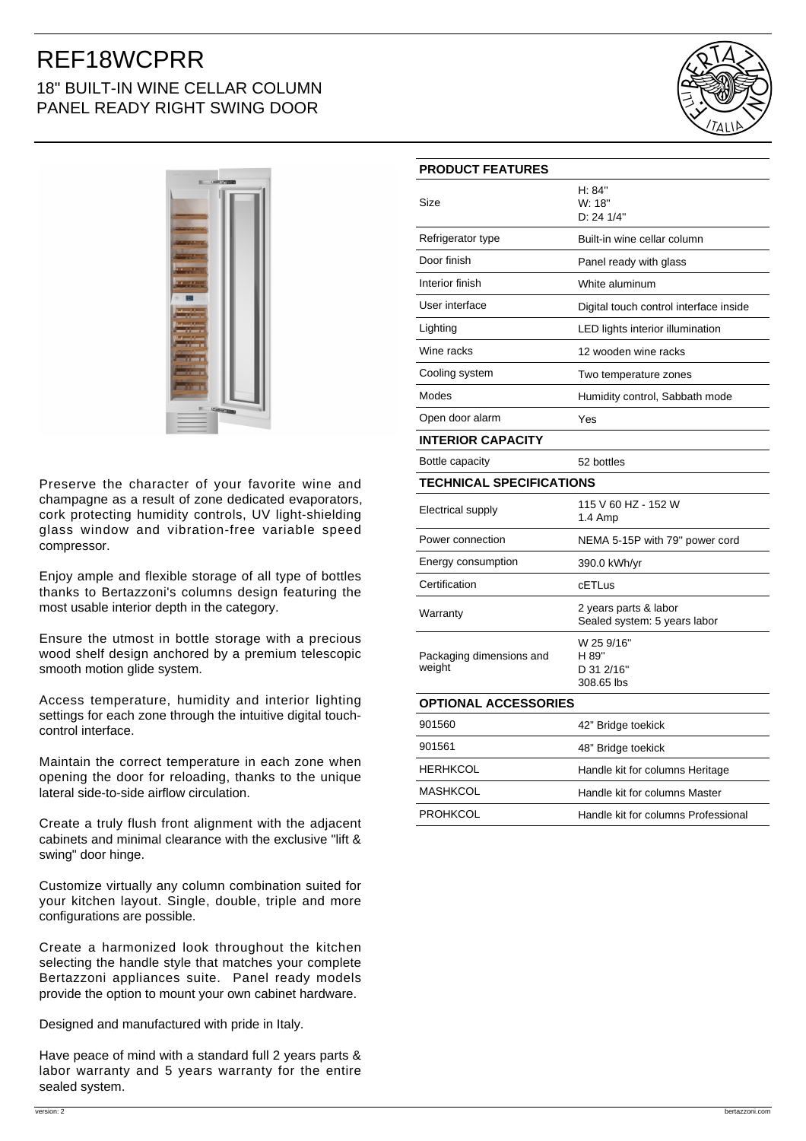# REF18WCPRR 18" BUILT-IN WINE CELLAR COLUMN PANEL READY RIGHT SWING DOOR





Preserve the character of your favorite wine and champagne as a result of zone dedicated evaporators, cork protecting humidity controls, UV light-shielding glass window and vibration-free variable speed compressor.

Enjoy ample and flexible storage of all type of bottles thanks to Bertazzoni's columns design featuring the most usable interior depth in the category.

Ensure the utmost in bottle storage with a precious wood shelf design anchored by a premium telescopic smooth motion glide system.

Access temperature, humidity and interior lighting settings for each zone through the intuitive digital touchcontrol interface.

Maintain the correct temperature in each zone when opening the door for reloading, thanks to the unique lateral side-to-side airflow circulation.

Create a truly flush front alignment with the adjacent cabinets and minimal clearance with the exclusive "lift & swing" door hinge.

Customize virtually any column combination suited for your kitchen layout. Single, double, triple and more configurations are possible.

Create a harmonized look throughout the kitchen selecting the handle style that matches your complete Bertazzoni appliances suite. Panel ready models provide the option to mount your own cabinet hardware.

Designed and manufactured with pride in Italy.

Have peace of mind with a standard full 2 years parts & labor warranty and 5 years warranty for the entire sealed system.

| <b>PRODUCT FEATURES</b>            |                                                       |
|------------------------------------|-------------------------------------------------------|
| Size                               | H: 84"<br>W: 18"<br>D: 24 1/4"                        |
| Refrigerator type                  | Built-in wine cellar column                           |
| Door finish                        | Panel ready with glass                                |
| Interior finish                    | White aluminum                                        |
| User interface                     | Digital touch control interface inside                |
| Lighting                           | LED lights interior illumination                      |
| Wine racks                         | 12 wooden wine racks                                  |
| Cooling system                     | Two temperature zones                                 |
| Modes                              | Humidity control, Sabbath mode                        |
| Open door alarm                    | Yes                                                   |
| <b>INTERIOR CAPACITY</b>           |                                                       |
| Bottle capacity                    | 52 bottles                                            |
| <b>TECHNICAL SPECIFICATIONS</b>    |                                                       |
| Electrical supply                  | 115 V 60 HZ - 152 W<br>1.4 Amp                        |
| Power connection                   | NEMA 5-15P with 79" power cord                        |
| Energy consumption                 | 390.0 kWh/yr                                          |
| Certification                      | cETLus                                                |
| Warranty                           | 2 years parts & labor<br>Sealed system: 5 years labor |
| Packaging dimensions and<br>weight | W 25 9/16"<br>H 89"<br>D 31 2/16"<br>308.65 lbs       |
| <b>OPTIONAL ACCESSORIES</b>        |                                                       |
| 901560                             | 42" Bridge toekick                                    |
| 901561                             | 48" Bridge toekick                                    |
| <b>HERHKCOL</b>                    | Handle kit for columns Heritage                       |
| <b>MASHKCOL</b>                    | Handle kit for columns Master                         |
| <b>PROHKCOL</b>                    | Handle kit for columns Professional                   |